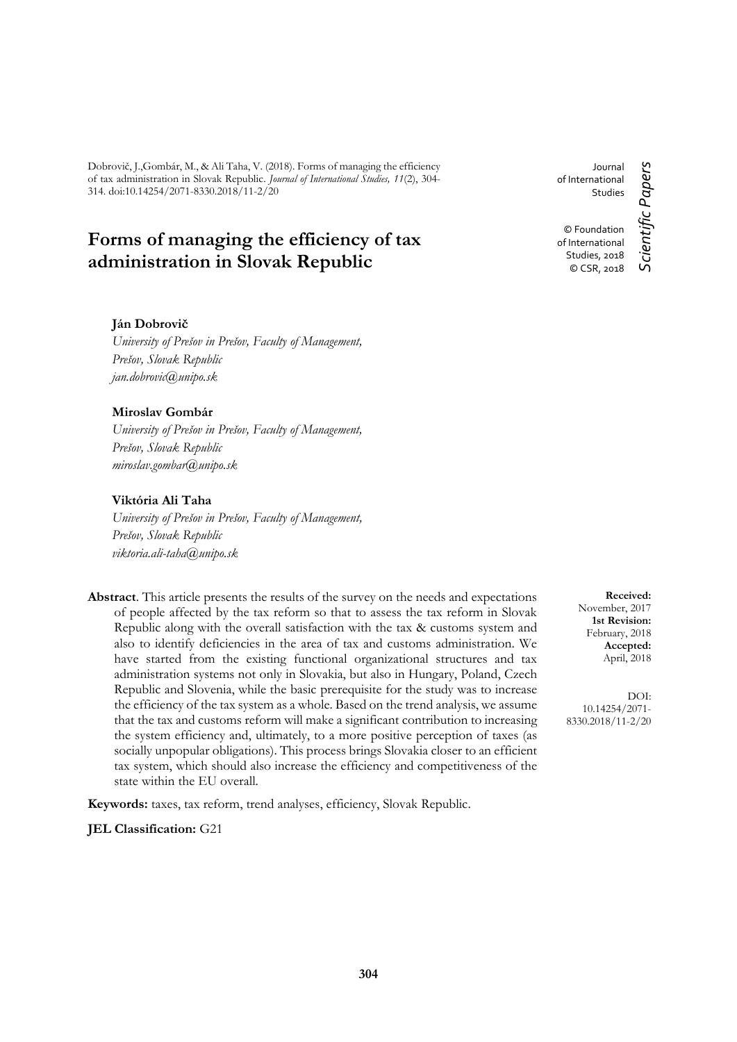Dobrovič, J.,Gombár, M., & Ali Taha, V. (2018). Forms of managing the efficiency of tax administration in Slovak Republic. *Journal of International Studies, 11*(2), 304- 314. doi:10.14254/2071-8330.2018/11-2/20

# **Forms of managing the efficiency of tax administration in Slovak Republic**

Journal of International Studies

© Foundation of International Studies, 2018 © CSR, 2018

#### **Ján Dobrovič**

*University of Prešov in Prešov, Faculty of Management, Prešov, Slovak Republic jan.dobrovic@unipo.sk*

#### **Miroslav Gombár**

*University of Prešov in Prešov, Faculty of Management, Prešov, Slovak Republic miroslav.gombar@unipo.sk*

### **Viktória Ali Taha**

*University of Prešov in Prešov, Faculty of Management, Prešov, Slovak Republic viktoria.ali-taha@unipo.sk*

**Abstract**. This article presents the results of the survey on the needs and expectations of people affected by the tax reform so that to assess the tax reform in Slovak Republic along with the overall satisfaction with the tax & customs system and also to identify deficiencies in the area of tax and customs administration. We have started from the existing functional organizational structures and tax administration systems not only in Slovakia, but also in Hungary, Poland, Czech Republic and Slovenia, while the basic prerequisite for the study was to increase the efficiency of the tax system as a whole. Based on the trend analysis, we assume that the tax and customs reform will make a significant contribution to increasing the system efficiency and, ultimately, to a more positive perception of taxes (as socially unpopular obligations). This process brings Slovakia closer to an efficient tax system, which should also increase the efficiency and competitiveness of the state within the EU overall.

**Keywords:** taxes, tax reform, trend analyses, efficiency, Slovak Republic.

**JEL Classification:** G21

**Received:** November, 2017 **1st Revision:** February, 2018 **Accepted:** April, 2018

DOI: 10.14254/2071- 8330.2018/11-2/20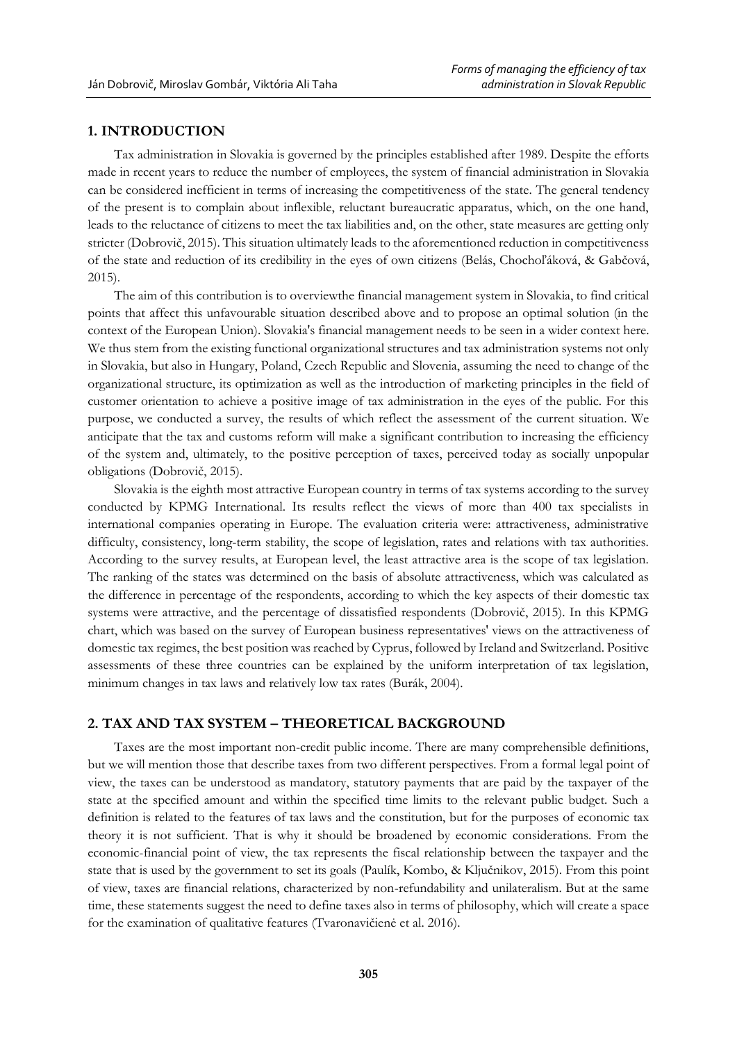# **1. INTRODUCTION**

Tax administration in Slovakia is governed by the principles established after 1989. Despite the efforts made in recent years to reduce the number of employees, the system of financial administration in Slovakia can be considered inefficient in terms of increasing the competitiveness of the state. The general tendency of the present is to complain about inflexible, reluctant bureaucratic apparatus, which, on the one hand, leads to the reluctance of citizens to meet the tax liabilities and, on the other, state measures are getting only stricter (Dobrovič, 2015). This situation ultimately leads to the aforementioned reduction in competitiveness of the state and reduction of its credibility in the eyes of own citizens (Belás, Chochoľáková, & Gabčová, 2015).

The aim of this contribution is to overviewthe financial management system in Slovakia, to find critical points that affect this unfavourable situation described above and to propose an optimal solution (in the context of the European Union). Slovakia's financial management needs to be seen in a wider context here. We thus stem from the existing functional organizational structures and tax administration systems not only in Slovakia, but also in Hungary, Poland, Czech Republic and Slovenia, assuming the need to change of the organizational structure, its optimization as well as the introduction of marketing principles in the field of customer orientation to achieve a positive image of tax administration in the eyes of the public. For this purpose, we conducted a survey, the results of which reflect the assessment of the current situation. We anticipate that the tax and customs reform will make a significant contribution to increasing the efficiency of the system and, ultimately, to the positive perception of taxes, perceived today as socially unpopular obligations (Dobrovič, 2015).

Slovakia is the eighth most attractive European country in terms of tax systems according to the survey conducted by KPMG International. Its results reflect the views of more than 400 tax specialists in international companies operating in Europe. The evaluation criteria were: attractiveness, administrative difficulty, consistency, long-term stability, the scope of legislation, rates and relations with tax authorities. According to the survey results, at European level, the least attractive area is the scope of tax legislation. The ranking of the states was determined on the basis of absolute attractiveness, which was calculated as the difference in percentage of the respondents, according to which the key aspects of their domestic tax systems were attractive, and the percentage of dissatisfied respondents (Dobrovič, 2015). In this KPMG chart, which was based on the survey of European business representatives' views on the attractiveness of domestic tax regimes, the best position was reached by Cyprus, followed by Ireland and Switzerland. Positive assessments of these three countries can be explained by the uniform interpretation of tax legislation, minimum changes in tax laws and relatively low tax rates (Burák, 2004).

# **2. TAX AND TAX SYSTEM – THEORETICAL BACKGROUND**

Taxes are the most important non-credit public income. There are many comprehensible definitions, but we will mention those that describe taxes from two different perspectives. From a formal legal point of view, the taxes can be understood as mandatory, statutory payments that are paid by the taxpayer of the state at the specified amount and within the specified time limits to the relevant public budget. Such a definition is related to the features of tax laws and the constitution, but for the purposes of economic tax theory it is not sufficient. That is why it should be broadened by economic considerations. From the economic-financial point of view, the tax represents the fiscal relationship between the taxpayer and the state that is used by the government to set its goals (Paulík, Kombo, & Ključnikov, 2015). From this point of view, taxes are financial relations, characterized by non-refundability and unilateralism. But at the same time, these statements suggest the need to define taxes also in terms of philosophy, which will create a space for the examination of qualitative features (Tvaronavičienė et al. 2016).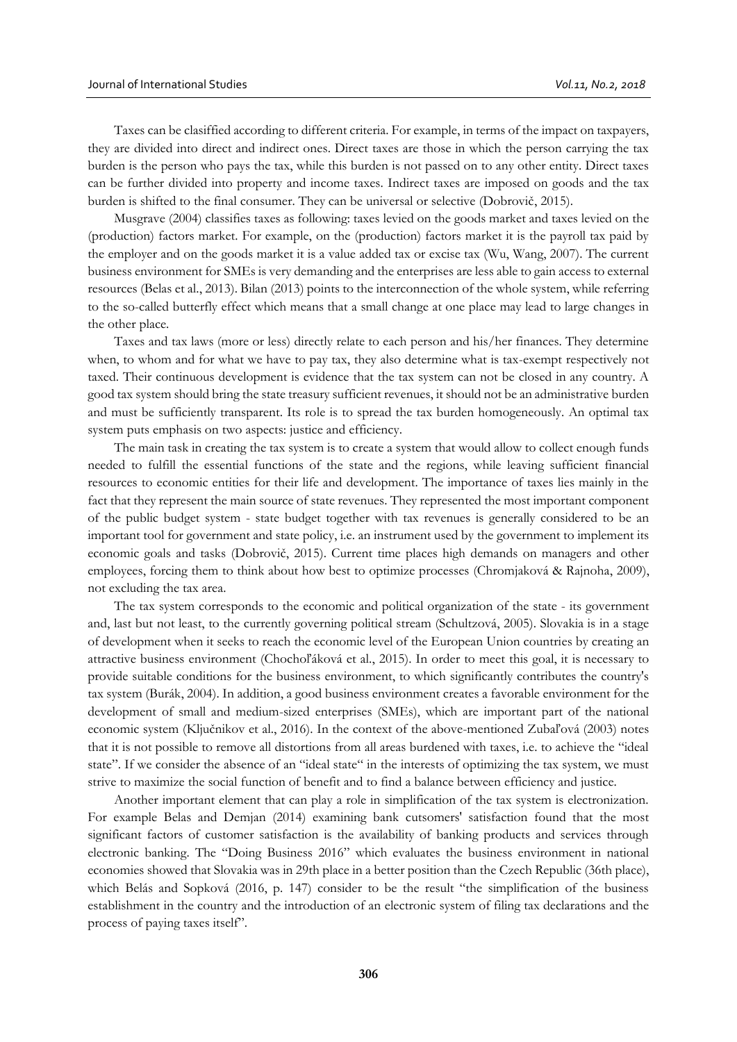Taxes can be clasiffied according to different criteria. For example, in terms of the impact on taxpayers, they are divided into direct and indirect ones. Direct taxes are those in which the person carrying the tax burden is the person who pays the tax, while this burden is not passed on to any other entity. Direct taxes can be further divided into property and income taxes. Indirect taxes are imposed on goods and the tax burden is shifted to the final consumer. They can be universal or selective (Dobrovič, 2015).

Musgrave (2004) classifies taxes as following: taxes levied on the goods market and taxes levied on the (production) factors market. For example, on the (production) factors market it is the payroll tax paid by the employer and on the goods market it is a value added tax or excise tax (Wu, Wang, 2007). The current business environment for SMEs is very demanding and the enterprises are less able to gain access to external resources (Belas et al., 2013). Bilan (2013) points to the interconnection of the whole system, while referring to the so-called butterfly effect which means that a small change at one place may lead to large changes in the other place.

Taxes and tax laws (more or less) directly relate to each person and his/her finances. They determine when, to whom and for what we have to pay tax, they also determine what is tax-exempt respectively not taxed. Their continuous development is evidence that the tax system can not be closed in any country. A good tax system should bring the state treasury sufficient revenues, it should not be an administrative burden and must be sufficiently transparent. Its role is to spread the tax burden homogeneously. An optimal tax system puts emphasis on two aspects: justice and efficiency.

The main task in creating the tax system is to create a system that would allow to collect enough funds needed to fulfill the essential functions of the state and the regions, while leaving sufficient financial resources to economic entities for their life and development. The importance of taxes lies mainly in the fact that they represent the main source of state revenues. They represented the most important component of the public budget system - state budget together with tax revenues is generally considered to be an important tool for government and state policy, i.e. an instrument used by the government to implement its economic goals and tasks (Dobrovič, 2015). Current time places high demands on managers and other employees, forcing them to think about how best to optimize processes (Chromjaková & Rajnoha, 2009), not excluding the tax area.

The tax system corresponds to the economic and political organization of the state - its government and, last but not least, to the currently governing political stream (Schultzová, 2005). Slovakia is in a stage of development when it seeks to reach the economic level of the European Union countries by creating an attractive business environment (Chochoľáková et al., 2015). In order to meet this goal, it is necessary to provide suitable conditions for the business environment, to which significantly contributes the country's tax system (Burák, 2004). In addition, a good business environment creates a favorable environment for the development of small and medium-sized enterprises (SMEs), which are important part of the national economic system (Ključnikov et al., 2016). In the context of the above-mentioned Zubaľová (2003) notes that it is not possible to remove all distortions from all areas burdened with taxes, i.e. to achieve the "ideal state". If we consider the absence of an "ideal state" in the interests of optimizing the tax system, we must strive to maximize the social function of benefit and to find a balance between efficiency and justice.

Another important element that can play a role in simplification of the tax system is electronization. For example Belas and Demjan (2014) examining bank cutsomers' satisfaction found that the most significant factors of customer satisfaction is the availability of banking products and services through electronic banking. The "Doing Business 2016" which evaluates the business environment in national economies showed that Slovakia was in 29th place in a better position than the Czech Republic (36th place), which Belás and Sopková (2016, p. 147) consider to be the result "the simplification of the business establishment in the country and the introduction of an electronic system of filing tax declarations and the process of paying taxes itself".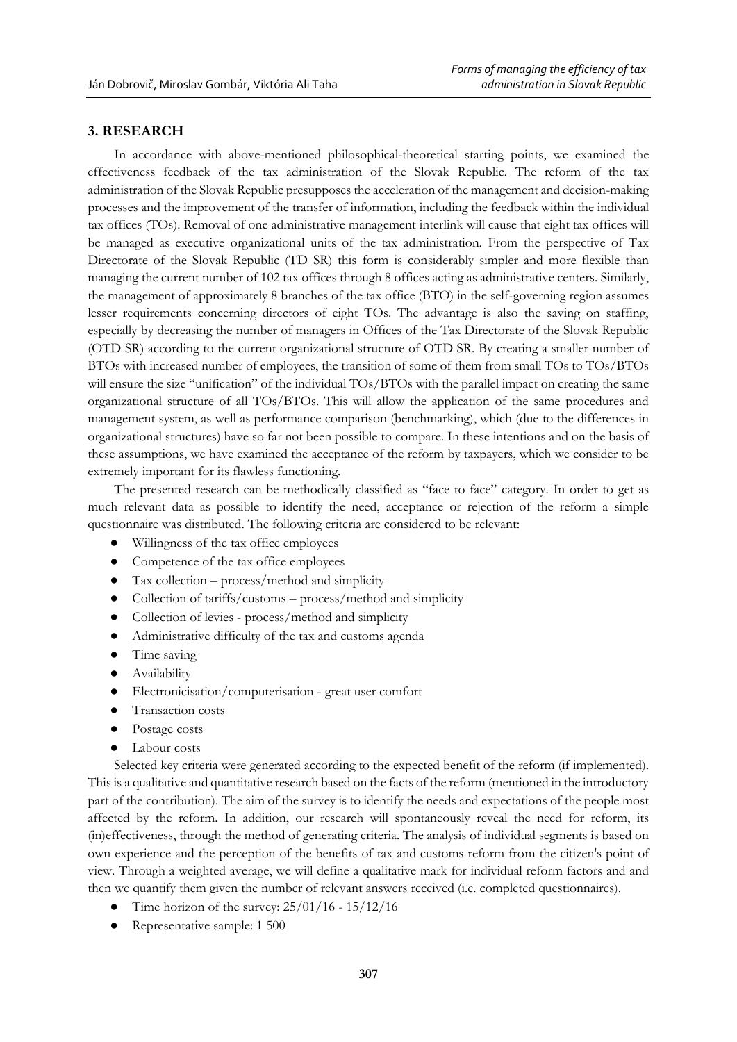# **3. RESEARCH**

In accordance with above-mentioned philosophical-theoretical starting points, we examined the effectiveness feedback of the tax administration of the Slovak Republic. The reform of the tax administration of the Slovak Republic presupposes the acceleration of the management and decision-making processes and the improvement of the transfer of information, including the feedback within the individual tax offices (TOs). Removal of one administrative management interlink will cause that eight tax offices will be managed as executive organizational units of the tax administration. From the perspective of Tax Directorate of the Slovak Republic (TD SR) this form is considerably simpler and more flexible than managing the current number of 102 tax offices through 8 offices acting as administrative centers. Similarly, the management of approximately 8 branches of the tax office (BTO) in the self-governing region assumes lesser requirements concerning directors of eight TOs. The advantage is also the saving on staffing, especially by decreasing the number of managers in Offices of the Tax Directorate of the Slovak Republic (OTD SR) according to the current organizational structure of OTD SR. By creating a smaller number of BTOs with increased number of employees, the transition of some of them from small TOs to TOs/BTOs will ensure the size "unification" of the individual TOs/BTOs with the parallel impact on creating the same organizational structure of all TOs/BTOs. This will allow the application of the same procedures and management system, as well as performance comparison (benchmarking), which (due to the differences in organizational structures) have so far not been possible to compare. In these intentions and on the basis of these assumptions, we have examined the acceptance of the reform by taxpayers, which we consider to be extremely important for its flawless functioning.

The presented research can be methodically classified as "face to face" category. In order to get as much relevant data as possible to identify the need, acceptance or rejection of the reform a simple questionnaire was distributed. The following criteria are considered to be relevant:

- Willingness of the tax office employees
- Competence of the tax office employees
- Tax collection process/method and simplicity
- Collection of tariffs/customs process/method and simplicity
- Collection of levies process/method and simplicity
- Administrative difficulty of the tax and customs agenda
- Time saving
- Availability
- Electronicisation/computerisation great user comfort
- Transaction costs
- Postage costs
- Labour costs

Selected key criteria were generated according to the expected benefit of the reform (if implemented). This is a qualitative and quantitative research based on the facts of the reform (mentioned in the introductory part of the contribution). The aim of the survey is to identify the needs and expectations of the people most affected by the reform. In addition, our research will spontaneously reveal the need for reform, its (in)effectiveness, through the method of generating criteria. The analysis of individual segments is based on own experience and the perception of the benefits of tax and customs reform from the citizen's point of view. Through a weighted average, we will define a qualitative mark for individual reform factors and and then we quantify them given the number of relevant answers received (i.e. completed questionnaires).

- Time horizon of the survey:  $25/01/16 15/12/16$
- Representative sample: 1 500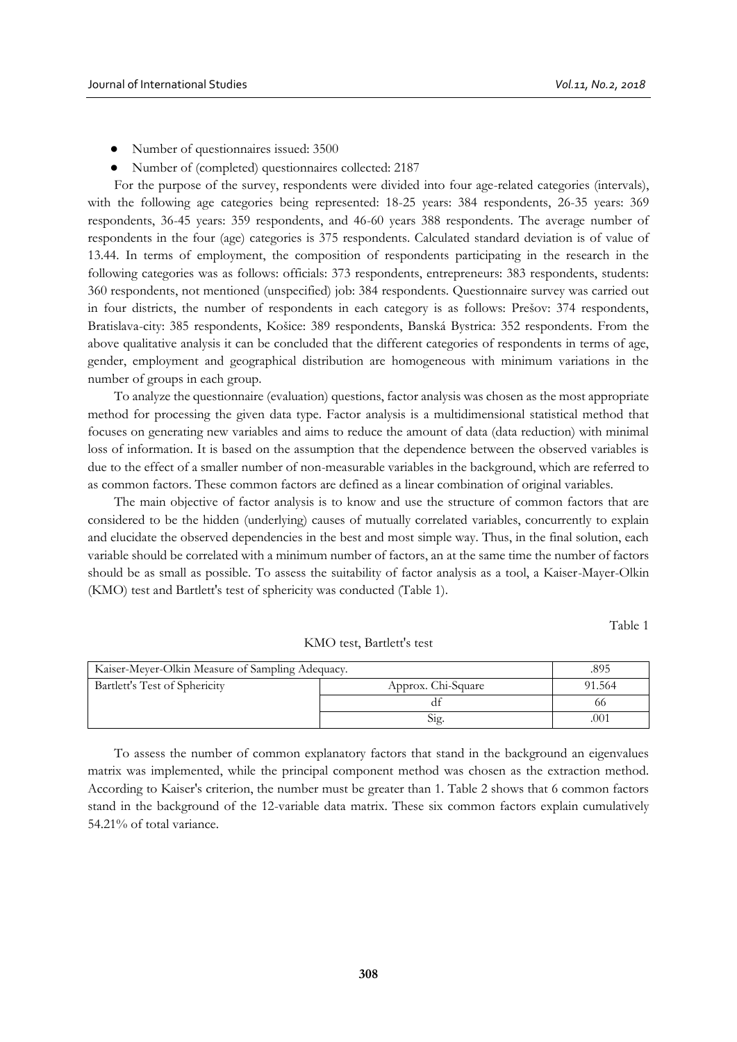- Number of questionnaires issued: 3500
- Number of (completed) questionnaires collected: 2187

For the purpose of the survey, respondents were divided into four age-related categories (intervals), with the following age categories being represented: 18-25 years: 384 respondents, 26-35 years: 369 respondents, 36-45 years: 359 respondents, and 46-60 years 388 respondents. The average number of respondents in the four (age) categories is 375 respondents. Calculated standard deviation is of value of 13.44. In terms of employment, the composition of respondents participating in the research in the following categories was as follows: officials: 373 respondents, entrepreneurs: 383 respondents, students: 360 respondents, not mentioned (unspecified) job: 384 respondents. Questionnaire survey was carried out in four districts, the number of respondents in each category is as follows: Prešov: 374 respondents, Bratislava-city: 385 respondents, Košice: 389 respondents, Banská Bystrica: 352 respondents. From the above qualitative analysis it can be concluded that the different categories of respondents in terms of age, gender, employment and geographical distribution are homogeneous with minimum variations in the number of groups in each group.

To analyze the questionnaire (evaluation) questions, factor analysis was chosen as the most appropriate method for processing the given data type. Factor analysis is a multidimensional statistical method that focuses on generating new variables and aims to reduce the amount of data (data reduction) with minimal loss of information. It is based on the assumption that the dependence between the observed variables is due to the effect of a smaller number of non-measurable variables in the background, which are referred to as common factors. These common factors are defined as a linear combination of original variables.

The main objective of factor analysis is to know and use the structure of common factors that are considered to be the hidden (underlying) causes of mutually correlated variables, concurrently to explain and elucidate the observed dependencies in the best and most simple way. Thus, in the final solution, each variable should be correlated with a minimum number of factors, an at the same time the number of factors should be as small as possible. To assess the suitability of factor analysis as a tool, a Kaiser-Mayer-Olkin (KMO) test and Bartlett's test of sphericity was conducted (Table 1).

Table 1

| Kaiser-Meyer-Olkin Measure of Sampling Adequacy. | .895               |        |
|--------------------------------------------------|--------------------|--------|
| Bartlett's Test of Sphericity                    | Approx. Chi-Square | 91.564 |
|                                                  |                    | 66     |
|                                                  | Sig.               | .001   |

KMO test, Bartlett's test

To assess the number of common explanatory factors that stand in the background an eigenvalues matrix was implemented, while the principal component method was chosen as the extraction method. According to Kaiser's criterion, the number must be greater than 1. Table 2 shows that 6 common factors stand in the background of the 12-variable data matrix. These six common factors explain cumulatively 54.21% of total variance.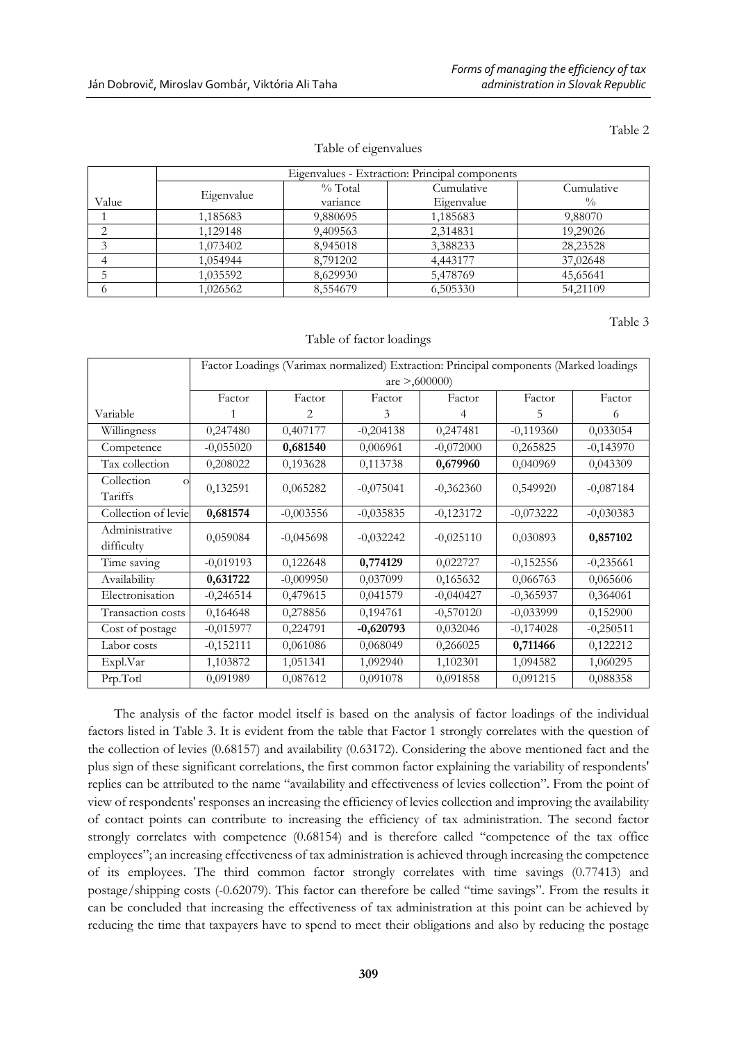Table 2

|  | Table of eigenvalues |  |
|--|----------------------|--|
|  |                      |  |
|  |                      |  |
|  |                      |  |
|  |                      |  |
|  |                      |  |
|  |                      |  |

|       |            | Eigenvalues - Extraction: Principal components |            |               |  |  |
|-------|------------|------------------------------------------------|------------|---------------|--|--|
|       | Eigenvalue | $\%$ Total                                     | Cumulative | Cumulative    |  |  |
| Value |            | variance                                       | Eigenvalue | $\frac{0}{0}$ |  |  |
|       | 1,185683   | 9,880695                                       | 1,185683   | 9,88070       |  |  |
|       | 1,129148   | 9,409563                                       | 2,314831   | 19,29026      |  |  |
|       | 1,073402   | 8,945018                                       | 3,388233   | 28,23528      |  |  |
|       | 1,054944   | 8.791202                                       | 4,443177   | 37,02648      |  |  |
|       | 1,035592   | 8,629930                                       | 5,478769   | 45,65641      |  |  |
|       | 1,026562   | 8,554679                                       | 6,505330   | 54,21109      |  |  |

Table 3

#### Table of factor loadings

|                                   | Factor Loadings (Varimax normalized) Extraction: Principal components (Marked loadings |             |             |             |             |             |  |
|-----------------------------------|----------------------------------------------------------------------------------------|-------------|-------------|-------------|-------------|-------------|--|
|                                   | are $>0.600000$                                                                        |             |             |             |             |             |  |
|                                   | Factor                                                                                 | Factor      | Factor      | Factor      | Factor      | Factor      |  |
| Variable                          |                                                                                        | 2.          | 3           | 4           | 5           | 6           |  |
| Willingness                       | 0,247480                                                                               | 0,407177    | $-0,204138$ | 0,247481    | $-0,119360$ | 0,033054    |  |
| Competence                        | $-0,055020$                                                                            | 0,681540    | 0,006961    | $-0,072000$ | 0,265825    | $-0,143970$ |  |
| Tax collection                    | 0,208022                                                                               | 0,193628    | 0,113738    | 0,679960    | 0,040969    | 0,043309    |  |
| Collection<br>$\Omega$<br>Tariffs | 0,132591                                                                               | 0,065282    | $-0,075041$ | $-0,362360$ | 0,549920    | $-0,087184$ |  |
| Collection of levie               | 0,681574                                                                               | $-0,003556$ | $-0,035835$ | $-0,123172$ | $-0,073222$ | $-0,030383$ |  |
| Administrative<br>difficulty      | 0,059084                                                                               | $-0.045698$ | $-0,032242$ | $-0,025110$ | 0,030893    | 0,857102    |  |
| Time saving                       | $-0,019193$                                                                            | 0,122648    | 0,774129    | 0,022727    | $-0,152556$ | $-0,235661$ |  |
| Availability                      | 0,631722                                                                               | $-0,009950$ | 0,037099    | 0,165632    | 0,066763    | 0,065606    |  |
| Electronisation                   | $-0,246514$                                                                            | 0,479615    | 0,041579    | $-0,040427$ | $-0,365937$ | 0,364061    |  |
| Transaction costs                 | 0,164648                                                                               | 0,278856    | 0,194761    | $-0,570120$ | $-0,033999$ | 0,152900    |  |
| Cost of postage                   | $-0,015977$                                                                            | 0,224791    | $-0,620793$ | 0,032046    | $-0,174028$ | $-0,250511$ |  |
| Labor costs                       | $-0,152111$                                                                            | 0,061086    | 0,068049    | 0,266025    | 0,711466    | 0,122212    |  |
| Expl.Var                          | 1,103872                                                                               | 1,051341    | 1,092940    | 1,102301    | 1,094582    | 1,060295    |  |
| Prp.Totl                          | 0,091989                                                                               | 0,087612    | 0,091078    | 0,091858    | 0,091215    | 0,088358    |  |

The analysis of the factor model itself is based on the analysis of factor loadings of the individual factors listed in Table 3. It is evident from the table that Factor 1 strongly correlates with the question of the collection of levies (0.68157) and availability (0.63172). Considering the above mentioned fact and the plus sign of these significant correlations, the first common factor explaining the variability of respondents' replies can be attributed to the name "availability and effectiveness of levies collection". From the point of view of respondents' responses an increasing the efficiency of levies collection and improving the availability of contact points can contribute to increasing the efficiency of tax administration. The second factor strongly correlates with competence (0.68154) and is therefore called "competence of the tax office employees"; an increasing effectiveness of tax administration is achieved through increasing the competence of its employees. The third common factor strongly correlates with time savings (0.77413) and postage/shipping costs (-0.62079). This factor can therefore be called "time savings". From the results it can be concluded that increasing the effectiveness of tax administration at this point can be achieved by reducing the time that taxpayers have to spend to meet their obligations and also by reducing the postage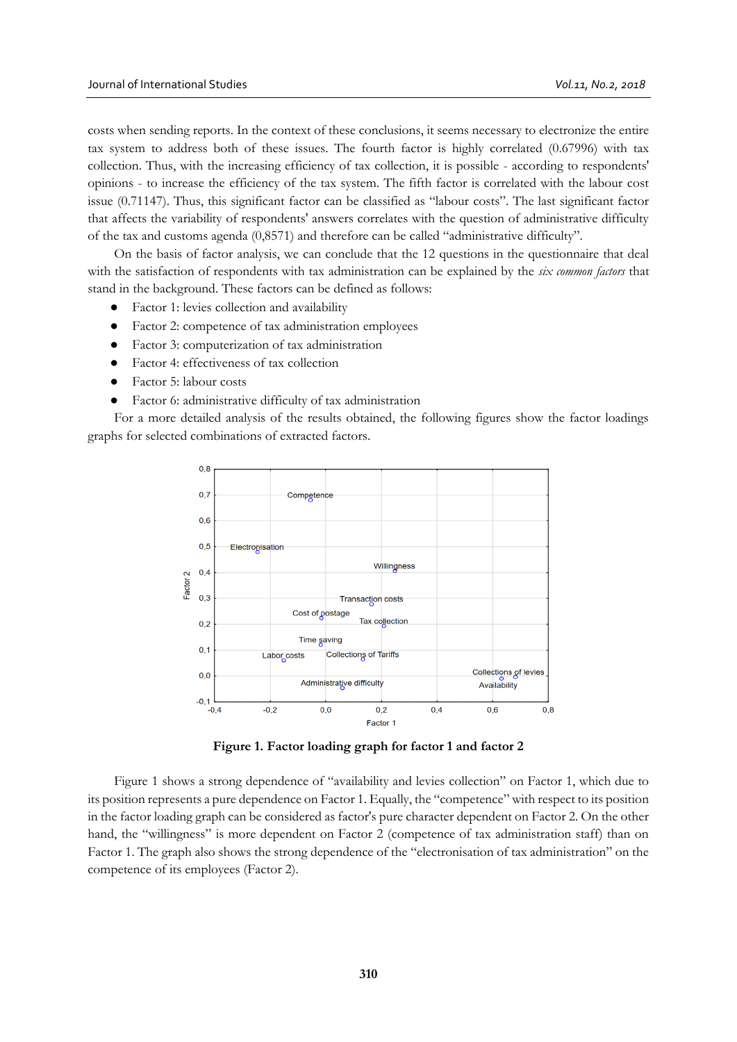costs when sending reports. In the context of these conclusions, it seems necessary to electronize the entire tax system to address both of these issues. The fourth factor is highly correlated (0.67996) with tax collection. Thus, with the increasing efficiency of tax collection, it is possible - according to respondents' opinions - to increase the efficiency of the tax system. The fifth factor is correlated with the labour cost issue (0.71147). Thus, this significant factor can be classified as "labour costs". The last significant factor that affects the variability of respondents' answers correlates with the question of administrative difficulty of the tax and customs agenda (0,8571) and therefore can be called "administrative difficulty".

On the basis of factor analysis, we can conclude that the 12 questions in the questionnaire that deal with the satisfaction of respondents with tax administration can be explained by the *six common factors* that stand in the background. These factors can be defined as follows:

- Factor 1: levies collection and availability
- Factor 2: competence of tax administration employees
- Factor 3: computerization of tax administration
- Factor 4: effectiveness of tax collection
- Factor 5: labour costs
- Factor 6: administrative difficulty of tax administration

For a more detailed analysis of the results obtained, the following figures show the factor loadings graphs for selected combinations of extracted factors.



**Figure 1. Factor loading graph for factor 1 and factor 2**

Figure 1 shows a strong dependence of "availability and levies collection" on Factor 1, which due to its position represents a pure dependence on Factor 1. Equally, the "competence" with respect to its position in the factor loading graph can be considered as factor's pure character dependent on Factor 2. On the other hand, the "willingness" is more dependent on Factor 2 (competence of tax administration staff) than on Factor 1. The graph also shows the strong dependence of the "electronisation of tax administration" on the competence of its employees (Factor 2).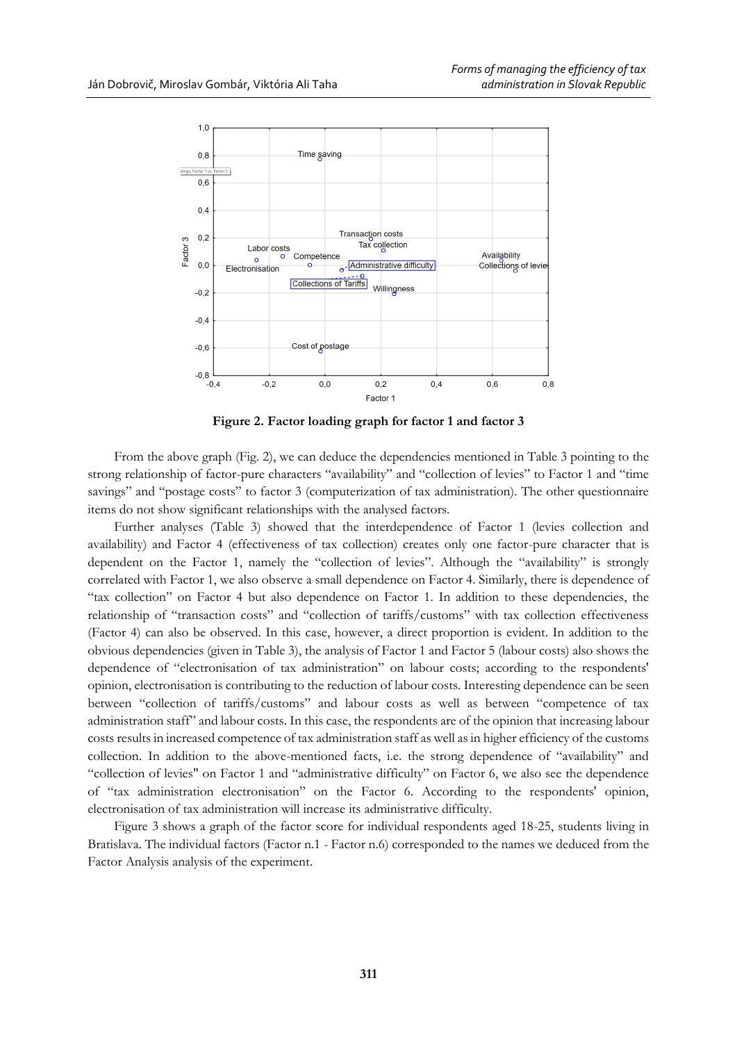

**Figure 2. Factor loading graph for factor 1 and factor 3**

From the above graph (Fig. 2), we can deduce the dependencies mentioned in Table 3 pointing to the strong relationship of factor-pure characters "availability" and "collection of levies" to Factor 1 and "time savings" and "postage costs" to factor 3 (computerization of tax administration). The other questionnaire items do not show significant relationships with the analysed factors.

Further analyses (Table 3) showed that the interdependence of Factor 1 (levies collection and availability) and Factor 4 (effectiveness of tax collection) creates only one factor-pure character that is dependent on the Factor 1, namely the "collection of levies". Although the "availability" is strongly correlated with Factor 1, we also observe a small dependence on Factor 4. Similarly, there is dependence of "tax collection" on Factor 4 but also dependence on Factor 1. In addition to these dependencies, the relationship of "transaction costs" and "collection of tariffs/customs" with tax collection effectiveness (Factor 4) can also be observed. In this case, however, a direct proportion is evident. In addition to the obvious dependencies (given in Table 3), the analysis of Factor 1 and Factor 5 (labour costs) also shows the dependence of "electronisation of tax administration" on labour costs; according to the respondents' opinion, electronisation is contributing to the reduction of labour costs. Interesting dependence can be seen between "collection of tariffs/customs" and labour costs as well as between "competence of tax administration staff" and labour costs. In this case, the respondents are of the opinion that increasing labour costs results in increased competence of tax administration staff as well as in higher efficiency of the customs collection. In addition to the above-mentioned facts, i.e. the strong dependence of "availability" and "collection of levies" on Factor 1 and "administrative difficulty" on Factor 6, we also see the dependence of "tax administration electronisation" on the Factor 6. According to the respondents' opinion, electronisation of tax administration will increase its administrative difficulty.

Figure 3 shows a graph of the factor score for individual respondents aged 18-25, students living in Bratislava. The individual factors (Factor n.1 - Factor n.6) corresponded to the names we deduced from the Factor Analysis analysis of the experiment.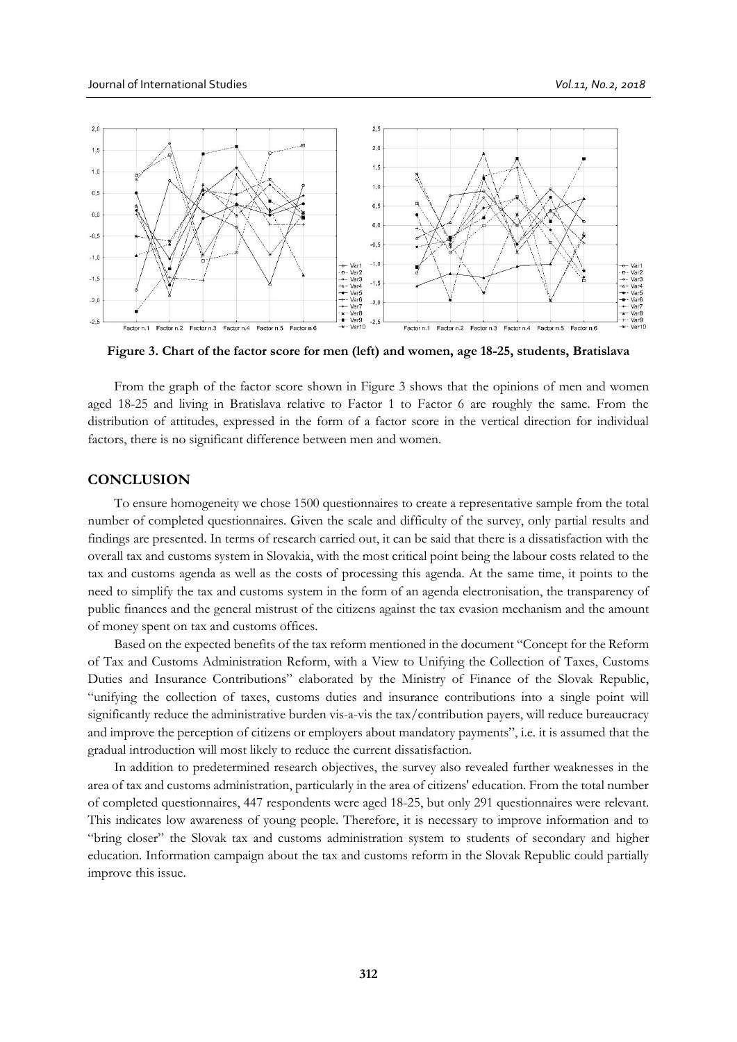

**Figure 3. Chart of the factor score for men (left) and women, age 18-25, students, Bratislava**

From the graph of the factor score shown in Figure 3 shows that the opinions of men and women aged 18-25 and living in Bratislava relative to Factor 1 to Factor 6 are roughly the same. From the distribution of attitudes, expressed in the form of a factor score in the vertical direction for individual factors, there is no significant difference between men and women.

### **CONCLUSION**

To ensure homogeneity we chose 1500 questionnaires to create a representative sample from the total number of completed questionnaires. Given the scale and difficulty of the survey, only partial results and findings are presented. In terms of research carried out, it can be said that there is a dissatisfaction with the overall tax and customs system in Slovakia, with the most critical point being the labour costs related to the tax and customs agenda as well as the costs of processing this agenda. At the same time, it points to the need to simplify the tax and customs system in the form of an agenda electronisation, the transparency of public finances and the general mistrust of the citizens against the tax evasion mechanism and the amount of money spent on tax and customs offices.

Based on the expected benefits of the tax reform mentioned in the document "Concept for the Reform of Tax and Customs Administration Reform, with a View to Unifying the Collection of Taxes, Customs Duties and Insurance Contributions" elaborated by the Ministry of Finance of the Slovak Republic, "unifying the collection of taxes, customs duties and insurance contributions into a single point will significantly reduce the administrative burden vis-a-vis the tax/contribution payers, will reduce bureaucracy and improve the perception of citizens or employers about mandatory payments", i.e. it is assumed that the gradual introduction will most likely to reduce the current dissatisfaction.

In addition to predetermined research objectives, the survey also revealed further weaknesses in the area of tax and customs administration, particularly in the area of citizens' education. From the total number of completed questionnaires, 447 respondents were aged 18-25, but only 291 questionnaires were relevant. This indicates low awareness of young people. Therefore, it is necessary to improve information and to "bring closer" the Slovak tax and customs administration system to students of secondary and higher education. Information campaign about the tax and customs reform in the Slovak Republic could partially improve this issue.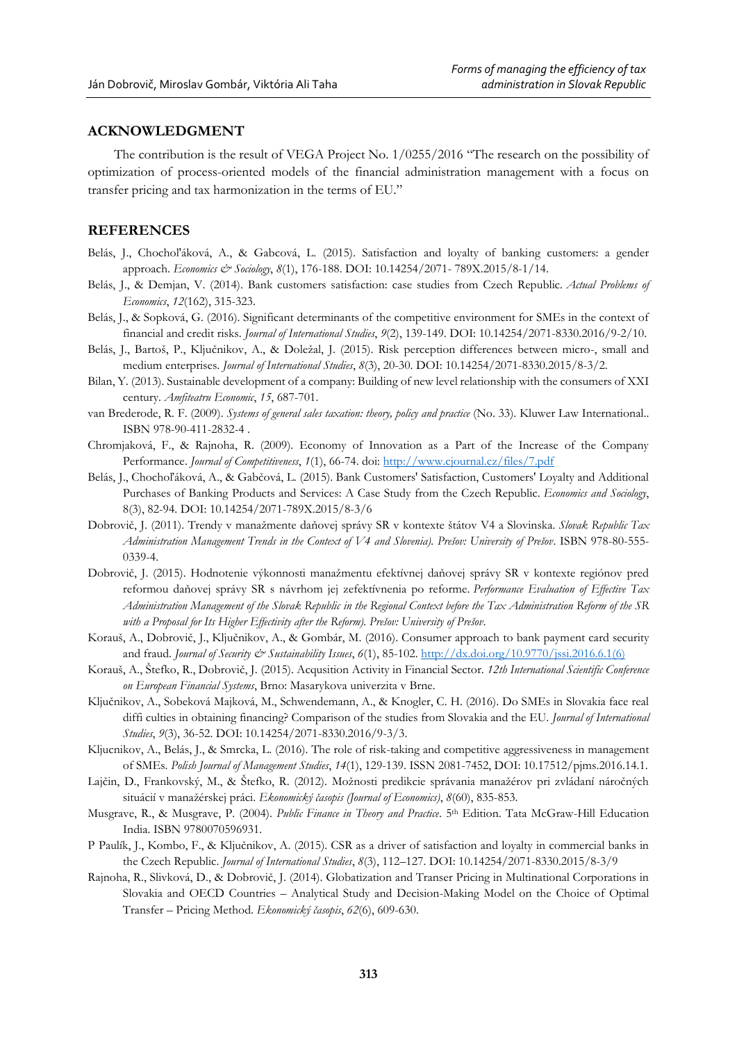### **ACKNOWLEDGMENT**

The contribution is the result of VEGA Project No. 1/0255/2016 "The research on the possibility of optimization of process-oriented models of the financial administration management with a focus on transfer pricing and tax harmonization in the terms of EU."

#### **REFERENCES**

- Belás, J., Chochol'áková, A., & Gabcová, L. (2015). Satisfaction and loyalty of banking customers: a gender approach. *Economics & Sociology*, *8*(1), 176-188. DOI: 10.14254/2071- 789X.2015/8-1/14.
- Belás, J., & Demjan, V. (2014). Bank customers satisfaction: case studies from Czech Republic. *Actual Problems of Economics*, *12*(162), 315-323.
- Belás, J., & Sopková, G. (2016). Significant determinants of the competitive environment for SMEs in the context of financial and credit risks. *Journal of International Studies*, *9*(2), 139-149. DOI: 10.14254/2071-8330.2016/9-2/10.
- Belás, J., Bartoš, P., Ključnikov, A., & Doležal, J. (2015). Risk perception differences between micro-, small and medium enterprises. *Journal of International Studies*, *8*(3), 20-30. DOI: 10.14254/2071-8330.2015/8-3/2.
- Bilan, Y. (2013). Sustainable development of a company: Building of new level relationship with the consumers of XXI century. *Amfiteatru Economic*, *15*, 687-701.
- van Brederode, R. F. (2009). *Systems of general sales taxation: theory, policy and practice* (No. 33). Kluwer Law International.. ISBN 978-90-411-2832-4 .
- Chromjaková, F., & Rajnoha, R. (2009). Economy of Innovation as a Part of the Increase of the Company Performance. *Journal of Competitiveness*, *1*(1), 66-74. doi[: http://www.cjournal.cz/files/7.pdf](http://www.cjournal.cz/files/7.pdf)
- Belás, J., Chochoľáková, A., & Gabčová, L. (2015). Bank Customers' Satisfaction, Customers' Loyalty and Additional Purchases of Banking Products and Services: A Case Study from the Czech Republic. *Economics and Sociology*, 8(3), 82-94. DOI: 10.14254/2071-789X.2015/8-3/6
- Dobrovič, J. (2011). Trendy v manažmente daňovej správy SR v kontexte štátov V4 a Slovinska. *Slovak Republic Tax Administration Management Trends in the Context of V4 and Slovenia). Prešov: University of Prešov*. ISBN 978-80-555- 0339-4.
- Dobrovič, J. (2015). Hodnotenie výkonnosti manažmentu efektívnej daňovej správy SR v kontexte regiónov pred reformou daňovej správy SR s návrhom jej zefektívnenia po reforme. *Performance Evaluation of Effective Tax Administration Management of the Slovak Republic in the Regional Context before the Tax Administration Reform of the SR with a Proposal for Its Higher Effectivity after the Reform). Prešov: University of Prešov*.
- Korauš, A., Dobrovič, J., Ključnikov, A., & Gombár, M. (2016). Consumer approach to bank payment card security and fraud. *Journal of Security & Sustainability Issues*,  $6(1)$ , 85-102. [http://dx.doi.org/10.9770/jssi.2016.6.1\(6\)](http://dx.doi.org/10.9770/jssi.2016.6.1%286%29)
- Korauš, A., Štefko, R., Dobrovič, J. (2015). Acqusition Activity in Financial Sector. *12th International Scientific Conference on European Financial Systems*, Brno: Masarykova univerzita v Brne.
- Ključnikov, A., Sobeková Majková, M., Schwendemann, A., & Knogler, C. H. (2016). Do SMEs in Slovakia face real diffi culties in obtaining financing? Comparison of the studies from Slovakia and the EU. *Journal of International Studies*, *9*(3), 36-52. DOI: 10.14254/2071-8330.2016/9-3/3.
- Kljucnikov, A., Belás, J., & Smrcka, L. (2016). The role of risk-taking and competitive aggressiveness in management of SMEs. *Polish Journal of Management Studies*, *14*(1), 129-139. ISSN 2081-7452, DOI: 10.17512/pjms.2016.14.1.
- Lajčin, D., Frankovský, M., & Štefko, R. (2012). Možnosti predikcie správania manažérov pri zvládaní náročných situácií v manažérskej práci. *Ekonomický časopis (Journal of Economics)*, *8*(60), 835-853.
- Musgrave, R., & Musgrave, P. (2004). *Public Finance in Theory and Practice*. 5th Edition. Tata McGraw-Hill Education India. ISBN 9780070596931.
- P Paulík, J., Kombo, F., & Ključnikov, A. (2015). CSR as a driver of satisfaction and loyalty in commercial banks in the Czech Republic. *Journal of International Studies*, *8*(3), 112–127. DOI: 10.14254/2071-8330.2015/8-3/9
- Rajnoha, R., Slivková, D., & Dobrovič, J. (2014). Globatization and Transer Pricing in Multinational Corporations in Slovakia and OECD Countries – Analytical Study and Decision-Making Model on the Choice of Optimal Transfer – Pricing Method. *Ekonomický časopis*, *62*(6), 609-630.